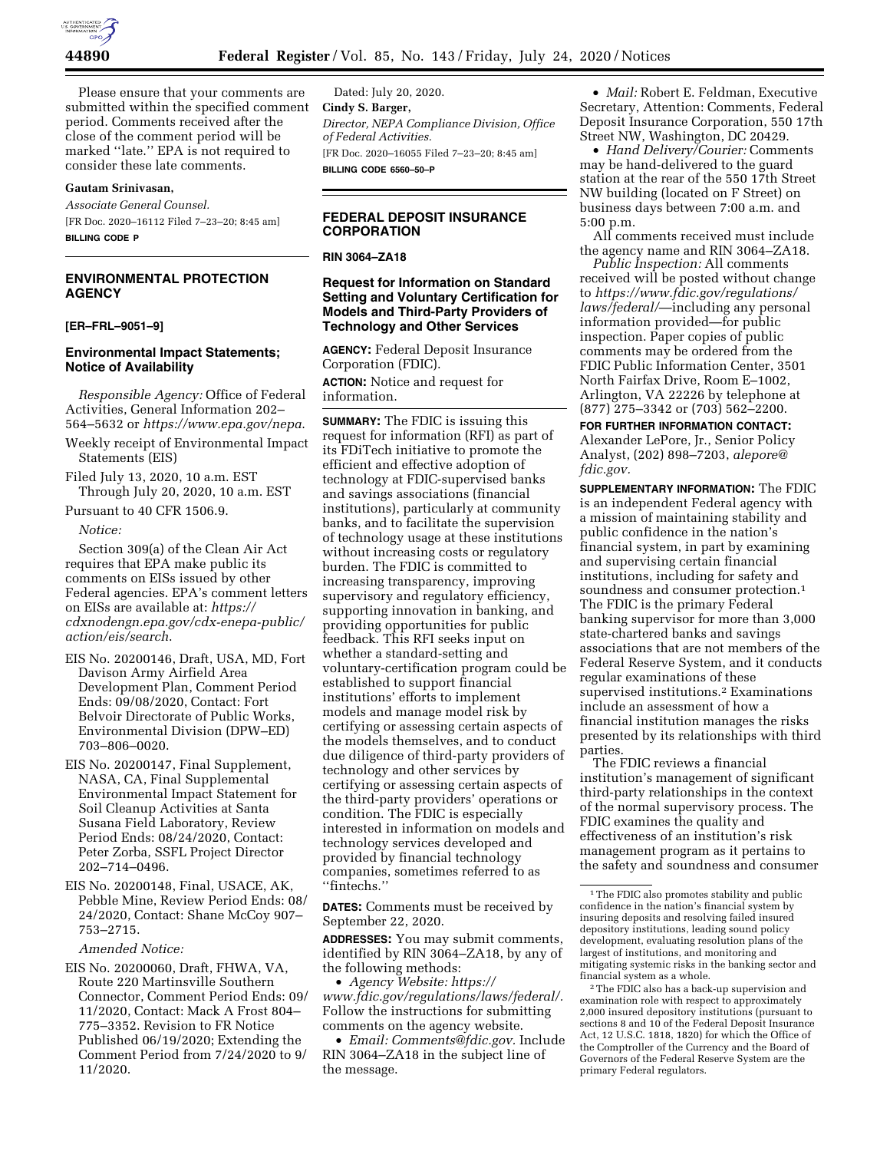

Please ensure that your comments are submitted within the specified comment period. Comments received after the close of the comment period will be marked ''late.'' EPA is not required to consider these late comments.

## **Gautam Srinivasan,**

*Associate General Counsel.*  [FR Doc. 2020–16112 Filed 7–23–20; 8:45 am] **BILLING CODE P** 

# **ENVIRONMENTAL PROTECTION AGENCY**

### **[ER–FRL–9051–9]**

## **Environmental Impact Statements; Notice of Availability**

*Responsible Agency:* Office of Federal Activities, General Information 202– 564–5632 or *<https://www.epa.gov/nepa>*.

Weekly receipt of Environmental Impact Statements (EIS)

Filed July 13, 2020, 10 a.m. EST Through July 20, 2020, 10 a.m. EST

Pursuant to 40 CFR 1506.9.

*Notice:* 

Section 309(a) of the Clean Air Act requires that EPA make public its comments on EISs issued by other Federal agencies. EPA's comment letters on EISs are available at: *[https://](https://cdxnodengn.epa.gov/cdx-enepa-public/action/eis/search) [cdxnodengn.epa.gov/cdx-enepa-public/](https://cdxnodengn.epa.gov/cdx-enepa-public/action/eis/search) [action/eis/search](https://cdxnodengn.epa.gov/cdx-enepa-public/action/eis/search)*.

- EIS No. 20200146, Draft, USA, MD, Fort Davison Army Airfield Area Development Plan, Comment Period Ends: 09/08/2020, Contact: Fort Belvoir Directorate of Public Works, Environmental Division (DPW–ED) 703–806–0020.
- EIS No. 20200147, Final Supplement, NASA, CA, Final Supplemental Environmental Impact Statement for Soil Cleanup Activities at Santa Susana Field Laboratory, Review Period Ends: 08/24/2020, Contact: Peter Zorba, SSFL Project Director 202–714–0496.
- EIS No. 20200148, Final, USACE, AK, Pebble Mine, Review Period Ends: 08/ 24/2020, Contact: Shane McCoy 907– 753–2715.

*Amended Notice:* 

EIS No. 20200060, Draft, FHWA, VA, Route 220 Martinsville Southern Connector, Comment Period Ends: 09/ 11/2020, Contact: Mack A Frost 804– 775–3352. Revision to FR Notice Published 06/19/2020; Extending the Comment Period from 7/24/2020 to 9/ 11/2020.

Dated: July 20, 2020. **Cindy S. Barger,**  *Director, NEPA Compliance Division, Office of Federal Activities.*  [FR Doc. 2020–16055 Filed 7–23–20; 8:45 am] **BILLING CODE 6560–50–P** 

# **FEDERAL DEPOSIT INSURANCE CORPORATION**

### **RIN 3064–ZA18**

# **Request for Information on Standard Setting and Voluntary Certification for Models and Third-Party Providers of Technology and Other Services**

**AGENCY:** Federal Deposit Insurance Corporation (FDIC).

**ACTION:** Notice and request for information.

**SUMMARY:** The FDIC is issuing this request for information (RFI) as part of its FDiTech initiative to promote the efficient and effective adoption of technology at FDIC-supervised banks and savings associations (financial institutions), particularly at community banks, and to facilitate the supervision of technology usage at these institutions without increasing costs or regulatory burden. The FDIC is committed to increasing transparency, improving supervisory and regulatory efficiency, supporting innovation in banking, and providing opportunities for public feedback. This RFI seeks input on whether a standard-setting and voluntary-certification program could be established to support financial institutions' efforts to implement models and manage model risk by certifying or assessing certain aspects of the models themselves, and to conduct due diligence of third-party providers of technology and other services by certifying or assessing certain aspects of the third-party providers' operations or condition. The FDIC is especially interested in information on models and technology services developed and provided by financial technology companies, sometimes referred to as ''fintechs.''

**DATES:** Comments must be received by September 22, 2020.

**ADDRESSES:** You may submit comments, identified by RIN 3064–ZA18, by any of the following methods:

• *Agency Website: [https://](https://www.fdic.gov/regulations/laws/federal/) [www.fdic.gov/regulations/laws/federal/.](https://www.fdic.gov/regulations/laws/federal/)*  Follow the instructions for submitting comments on the agency website.

• *Email: [Comments@fdic.gov.](mailto:Comments@fdic.gov)* Include RIN 3064–ZA18 in the subject line of the message.

• *Mail:* Robert E. Feldman, Executive Secretary, Attention: Comments, Federal Deposit Insurance Corporation, 550 17th Street NW, Washington, DC 20429.

• *Hand Delivery/Courier:* Comments may be hand-delivered to the guard station at the rear of the 550 17th Street NW building (located on F Street) on business days between 7:00 a.m. and 5:00 p.m.

All comments received must include the agency name and RIN 3064–ZA18.

*Public Inspection:* All comments received will be posted without change to *[https://www.fdic.gov/regulations/](https://www.fdic.gov/regulations/laws/federal/)  [laws/federal/](https://www.fdic.gov/regulations/laws/federal/)*—including any personal information provided—for public inspection. Paper copies of public comments may be ordered from the FDIC Public Information Center, 3501 North Fairfax Drive, Room E–1002, Arlington, VA 22226 by telephone at (877) 275–3342 or (703) 562–2200.

**FOR FURTHER INFORMATION CONTACT:** 

Alexander LePore, Jr., Senior Policy Analyst, (202) 898–7203, *[alepore@](mailto:alepore@fdic.gov) [fdic.gov.](mailto:alepore@fdic.gov)* 

**SUPPLEMENTARY INFORMATION:** The FDIC is an independent Federal agency with a mission of maintaining stability and public confidence in the nation's financial system, in part by examining and supervising certain financial institutions, including for safety and soundness and consumer protection.<sup>1</sup> The FDIC is the primary Federal banking supervisor for more than 3,000 state-chartered banks and savings associations that are not members of the Federal Reserve System, and it conducts regular examinations of these supervised institutions.2 Examinations include an assessment of how a financial institution manages the risks presented by its relationships with third parties.

The FDIC reviews a financial institution's management of significant third-party relationships in the context of the normal supervisory process. The FDIC examines the quality and effectiveness of an institution's risk management program as it pertains to the safety and soundness and consumer

<sup>&</sup>lt;sup>1</sup>The FDIC also promotes stability and public confidence in the nation's financial system by insuring deposits and resolving failed insured depository institutions, leading sound policy development, evaluating resolution plans of the largest of institutions, and monitoring and mitigating systemic risks in the banking sector and financial system as a whole.

<sup>2</sup>The FDIC also has a back-up supervision and examination role with respect to approximately 2,000 insured depository institutions (pursuant to sections 8 and 10 of the Federal Deposit Insurance Act, 12 U.S.C. 1818, 1820) for which the Office of the Comptroller of the Currency and the Board of Governors of the Federal Reserve System are the primary Federal regulators.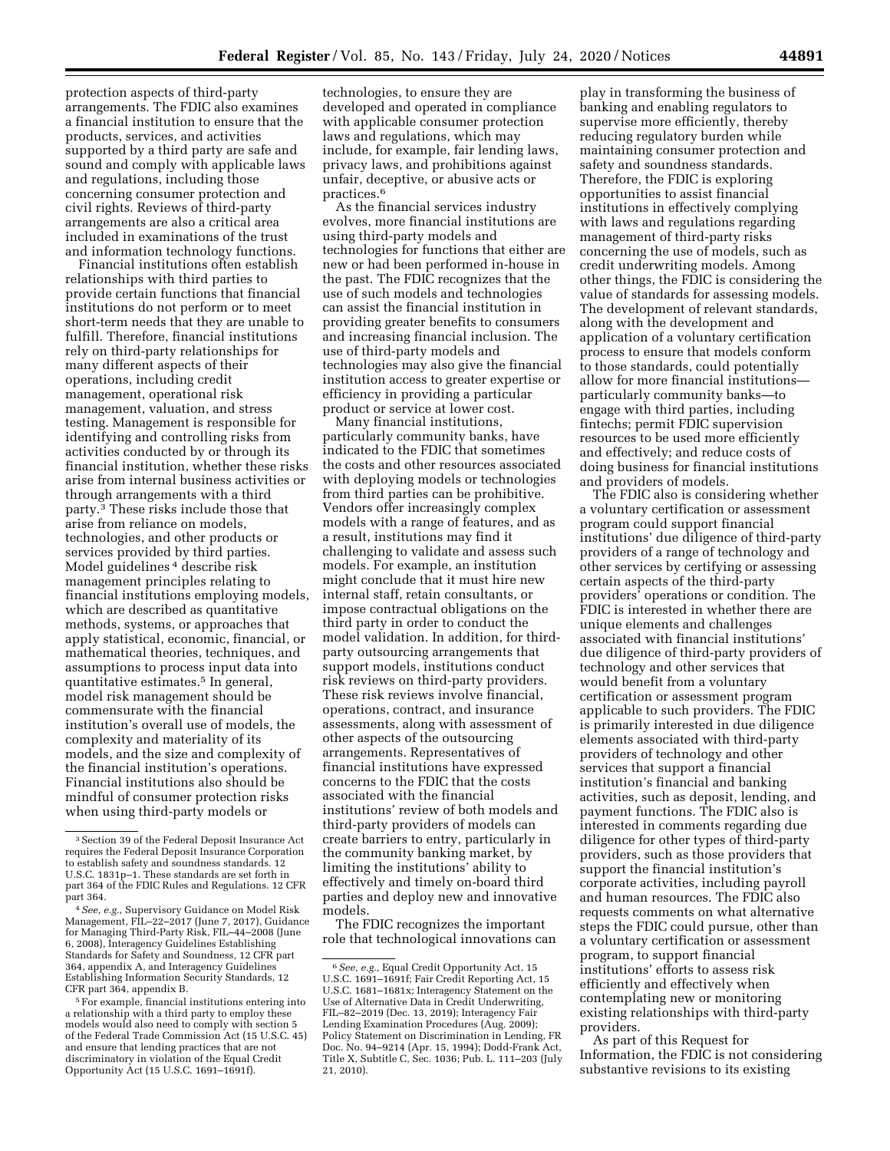protection aspects of third-party arrangements. The FDIC also examines a financial institution to ensure that the products, services, and activities supported by a third party are safe and sound and comply with applicable laws and regulations, including those concerning consumer protection and civil rights. Reviews of third-party arrangements are also a critical area included in examinations of the trust and information technology functions.

Financial institutions often establish relationships with third parties to provide certain functions that financial institutions do not perform or to meet short-term needs that they are unable to fulfill. Therefore, financial institutions rely on third-party relationships for many different aspects of their operations, including credit management, operational risk management, valuation, and stress testing. Management is responsible for identifying and controlling risks from activities conducted by or through its financial institution, whether these risks arise from internal business activities or through arrangements with a third party.3 These risks include those that arise from reliance on models, technologies, and other products or services provided by third parties. Model guidelines 4 describe risk management principles relating to financial institutions employing models, which are described as quantitative methods, systems, or approaches that apply statistical, economic, financial, or mathematical theories, techniques, and assumptions to process input data into quantitative estimates.5 In general, model risk management should be commensurate with the financial institution's overall use of models, the complexity and materiality of its models, and the size and complexity of the financial institution's operations. Financial institutions also should be mindful of consumer protection risks when using third-party models or

5For example, financial institutions entering into a relationship with a third party to employ these models would also need to comply with section 5 of the Federal Trade Commission Act (15 U.S.C. 45) and ensure that lending practices that are not discriminatory in violation of the Equal Credit Opportunity Act (15 U.S.C. 1691–1691f).

technologies, to ensure they are developed and operated in compliance with applicable consumer protection laws and regulations, which may include, for example, fair lending laws, privacy laws, and prohibitions against unfair, deceptive, or abusive acts or practices.6

As the financial services industry evolves, more financial institutions are using third-party models and technologies for functions that either are new or had been performed in-house in the past. The FDIC recognizes that the use of such models and technologies can assist the financial institution in providing greater benefits to consumers and increasing financial inclusion. The use of third-party models and technologies may also give the financial institution access to greater expertise or efficiency in providing a particular product or service at lower cost.

Many financial institutions, particularly community banks, have indicated to the FDIC that sometimes the costs and other resources associated with deploying models or technologies from third parties can be prohibitive. Vendors offer increasingly complex models with a range of features, and as a result, institutions may find it challenging to validate and assess such models. For example, an institution might conclude that it must hire new internal staff, retain consultants, or impose contractual obligations on the third party in order to conduct the model validation. In addition, for thirdparty outsourcing arrangements that support models, institutions conduct risk reviews on third-party providers. These risk reviews involve financial, operations, contract, and insurance assessments, along with assessment of other aspects of the outsourcing arrangements. Representatives of financial institutions have expressed concerns to the FDIC that the costs associated with the financial institutions' review of both models and third-party providers of models can create barriers to entry, particularly in the community banking market, by limiting the institutions' ability to effectively and timely on-board third parties and deploy new and innovative models.

The FDIC recognizes the important role that technological innovations can

play in transforming the business of banking and enabling regulators to supervise more efficiently, thereby reducing regulatory burden while maintaining consumer protection and safety and soundness standards. Therefore, the FDIC is exploring opportunities to assist financial institutions in effectively complying with laws and regulations regarding management of third-party risks concerning the use of models, such as credit underwriting models. Among other things, the FDIC is considering the value of standards for assessing models. The development of relevant standards, along with the development and application of a voluntary certification process to ensure that models conform to those standards, could potentially allow for more financial institutions particularly community banks—to engage with third parties, including fintechs; permit FDIC supervision resources to be used more efficiently and effectively; and reduce costs of doing business for financial institutions and providers of models.

The FDIC also is considering whether a voluntary certification or assessment program could support financial institutions' due diligence of third-party providers of a range of technology and other services by certifying or assessing certain aspects of the third-party providers' operations or condition. The FDIC is interested in whether there are unique elements and challenges associated with financial institutions' due diligence of third-party providers of technology and other services that would benefit from a voluntary certification or assessment program applicable to such providers. The FDIC is primarily interested in due diligence elements associated with third-party providers of technology and other services that support a financial institution's financial and banking activities, such as deposit, lending, and payment functions. The FDIC also is interested in comments regarding due diligence for other types of third-party providers, such as those providers that support the financial institution's corporate activities, including payroll and human resources. The FDIC also requests comments on what alternative steps the FDIC could pursue, other than a voluntary certification or assessment program, to support financial institutions' efforts to assess risk efficiently and effectively when contemplating new or monitoring existing relationships with third-party providers.

As part of this Request for Information, the FDIC is not considering substantive revisions to its existing

<sup>3</sup>Section 39 of the Federal Deposit Insurance Act requires the Federal Deposit Insurance Corporation to establish safety and soundness standards. 12 U.S.C. 1831p–1. These standards are set forth in part 364 of the FDIC Rules and Regulations. 12 CFR<br>part 364.

<sup>&</sup>lt;sup>4</sup> See, e.g., Supervisory Guidance on Model Risk Management, FIL–22–2017 (June 7, 2017), Guidance for Managing Third-Party Risk, FIL–44–2008 (June 6, 2008), Interagency Guidelines Establishing Standards for Safety and Soundness, 12 CFR part 364, appendix A, and Interagency Guidelines Establishing Information Security Standards, 12 CFR part 364, appendix B.

<sup>6</sup>*See, e.g.,* Equal Credit Opportunity Act, 15 U.S.C. 1691–1691f; Fair Credit Reporting Act, 15 U.S.C. 1681–1681x; Interagency Statement on the Use of Alternative Data in Credit Underwriting, FIL–82–2019 (Dec. 13, 2019); Interagency Fair Lending Examination Procedures (Aug. 2009); Policy Statement on Discrimination in Lending, FR Doc. No. 94–9214 (Apr. 15, 1994); Dodd-Frank Act, Title X, Subtitle C, Sec. 1036; Pub. L. 111–203 (July 21, 2010).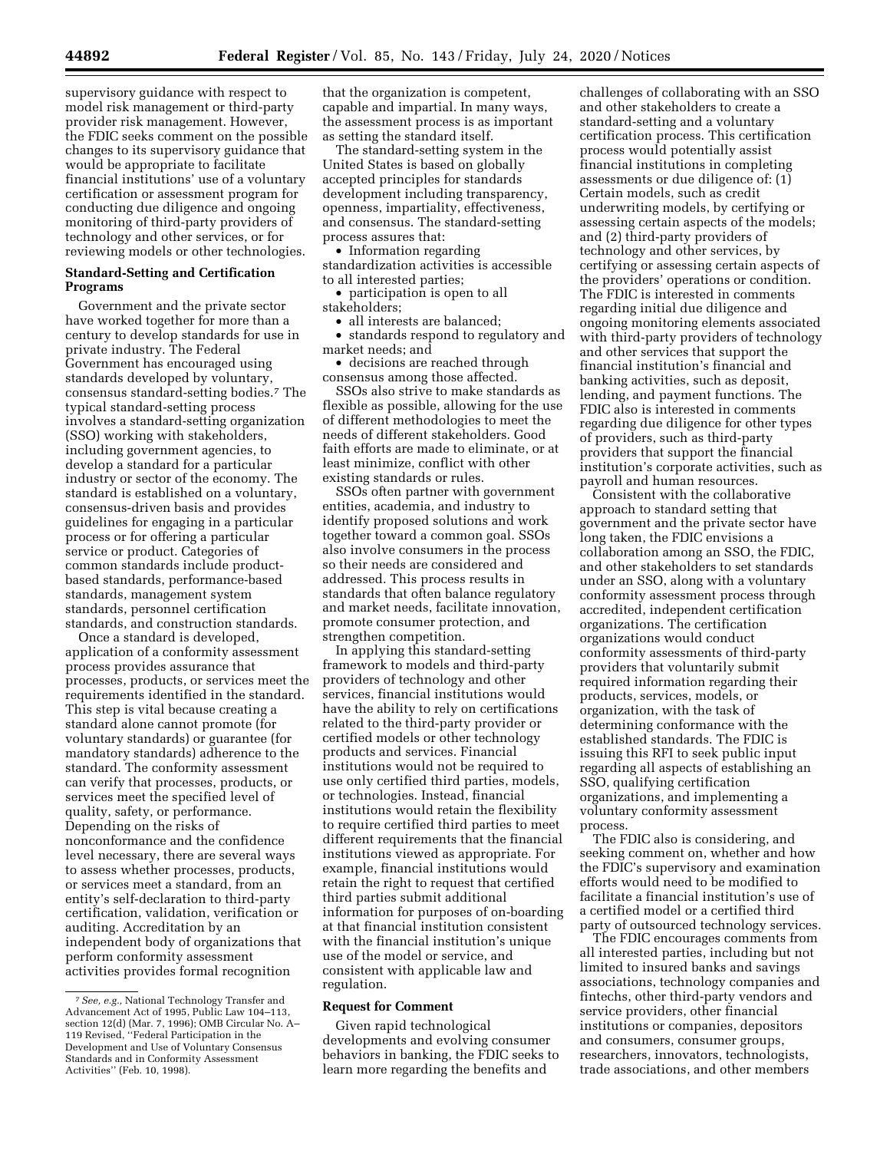supervisory guidance with respect to model risk management or third-party provider risk management. However, the FDIC seeks comment on the possible changes to its supervisory guidance that would be appropriate to facilitate financial institutions' use of a voluntary certification or assessment program for conducting due diligence and ongoing monitoring of third-party providers of technology and other services, or for reviewing models or other technologies.

# **Standard-Setting and Certification Programs**

Government and the private sector have worked together for more than a century to develop standards for use in private industry. The Federal Government has encouraged using standards developed by voluntary, consensus standard-setting bodies.7 The typical standard-setting process involves a standard-setting organization (SSO) working with stakeholders, including government agencies, to develop a standard for a particular industry or sector of the economy. The standard is established on a voluntary, consensus-driven basis and provides guidelines for engaging in a particular process or for offering a particular service or product. Categories of common standards include productbased standards, performance-based standards, management system standards, personnel certification standards, and construction standards.

Once a standard is developed, application of a conformity assessment process provides assurance that processes, products, or services meet the requirements identified in the standard. This step is vital because creating a standard alone cannot promote (for voluntary standards) or guarantee (for mandatory standards) adherence to the standard. The conformity assessment can verify that processes, products, or services meet the specified level of quality, safety, or performance. Depending on the risks of nonconformance and the confidence level necessary, there are several ways to assess whether processes, products, or services meet a standard, from an entity's self-declaration to third-party certification, validation, verification or auditing. Accreditation by an independent body of organizations that perform conformity assessment activities provides formal recognition

that the organization is competent, capable and impartial. In many ways, the assessment process is as important as setting the standard itself.

The standard-setting system in the United States is based on globally accepted principles for standards development including transparency, openness, impartiality, effectiveness, and consensus. The standard-setting process assures that:

• Information regarding standardization activities is accessible to all interested parties;

• participation is open to all stakeholders;

• all interests are balanced;

• standards respond to regulatory and market needs; and

• decisions are reached through consensus among those affected.

SSOs also strive to make standards as flexible as possible, allowing for the use of different methodologies to meet the needs of different stakeholders. Good faith efforts are made to eliminate, or at least minimize, conflict with other existing standards or rules.

SSOs often partner with government entities, academia, and industry to identify proposed solutions and work together toward a common goal. SSOs also involve consumers in the process so their needs are considered and addressed. This process results in standards that often balance regulatory and market needs, facilitate innovation, promote consumer protection, and strengthen competition.

In applying this standard-setting framework to models and third-party providers of technology and other services, financial institutions would have the ability to rely on certifications related to the third-party provider or certified models or other technology products and services. Financial institutions would not be required to use only certified third parties, models, or technologies. Instead, financial institutions would retain the flexibility to require certified third parties to meet different requirements that the financial institutions viewed as appropriate. For example, financial institutions would retain the right to request that certified third parties submit additional information for purposes of on-boarding at that financial institution consistent with the financial institution's unique use of the model or service, and consistent with applicable law and regulation.

## **Request for Comment**

Given rapid technological developments and evolving consumer behaviors in banking, the FDIC seeks to learn more regarding the benefits and

challenges of collaborating with an SSO and other stakeholders to create a standard-setting and a voluntary certification process. This certification process would potentially assist financial institutions in completing assessments or due diligence of: (1) Certain models, such as credit underwriting models, by certifying or assessing certain aspects of the models; and (2) third-party providers of technology and other services, by certifying or assessing certain aspects of the providers' operations or condition. The FDIC is interested in comments regarding initial due diligence and ongoing monitoring elements associated with third-party providers of technology and other services that support the financial institution's financial and banking activities, such as deposit, lending, and payment functions. The FDIC also is interested in comments regarding due diligence for other types of providers, such as third-party providers that support the financial institution's corporate activities, such as payroll and human resources.

Consistent with the collaborative approach to standard setting that government and the private sector have long taken, the FDIC envisions a collaboration among an SSO, the FDIC, and other stakeholders to set standards under an SSO, along with a voluntary conformity assessment process through accredited, independent certification organizations. The certification organizations would conduct conformity assessments of third-party providers that voluntarily submit required information regarding their products, services, models, or organization, with the task of determining conformance with the established standards. The FDIC is issuing this RFI to seek public input regarding all aspects of establishing an SSO, qualifying certification organizations, and implementing a voluntary conformity assessment process.

The FDIC also is considering, and seeking comment on, whether and how the FDIC's supervisory and examination efforts would need to be modified to facilitate a financial institution's use of a certified model or a certified third party of outsourced technology services.

The FDIC encourages comments from all interested parties, including but not limited to insured banks and savings associations, technology companies and fintechs, other third-party vendors and service providers, other financial institutions or companies, depositors and consumers, consumer groups, researchers, innovators, technologists, trade associations, and other members

<sup>7</sup>*See, e.g.,* National Technology Transfer and Advancement Act of 1995, Public Law 104–113, section 12(d) (Mar. 7, 1996); OMB Circular No. A– 119 Revised, ''Federal Participation in the Development and Use of Voluntary Consensus Standards and in Conformity Assessment Activities'' (Feb. 10, 1998).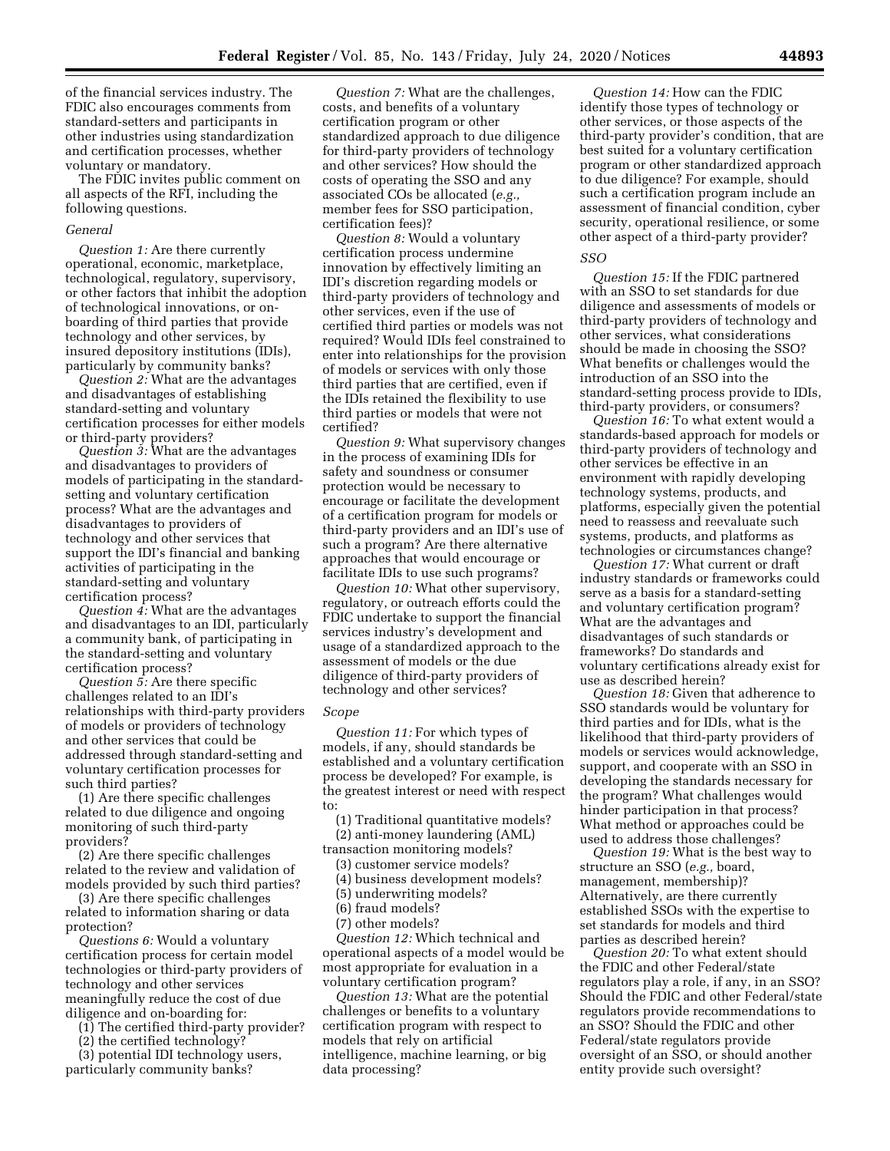of the financial services industry. The FDIC also encourages comments from standard-setters and participants in other industries using standardization and certification processes, whether voluntary or mandatory.

The FDIC invites public comment on all aspects of the RFI, including the following questions.

## *General*

*Question 1:* Are there currently operational, economic, marketplace, technological, regulatory, supervisory, or other factors that inhibit the adoption of technological innovations, or onboarding of third parties that provide technology and other services, by insured depository institutions (IDIs), particularly by community banks?

*Question 2:* What are the advantages and disadvantages of establishing standard-setting and voluntary certification processes for either models or third-party providers?

*Question 3:* What are the advantages and disadvantages to providers of models of participating in the standardsetting and voluntary certification process? What are the advantages and disadvantages to providers of technology and other services that support the IDI's financial and banking activities of participating in the standard-setting and voluntary certification process?

*Question 4:* What are the advantages and disadvantages to an IDI, particularly a community bank, of participating in the standard-setting and voluntary certification process?

*Question 5:* Are there specific challenges related to an IDI's relationships with third-party providers of models or providers of technology and other services that could be addressed through standard-setting and voluntary certification processes for such third parties?

(1) Are there specific challenges related to due diligence and ongoing monitoring of such third-party providers?

(2) Are there specific challenges related to the review and validation of models provided by such third parties?

(3) Are there specific challenges related to information sharing or data protection?

*Questions 6:* Would a voluntary certification process for certain model technologies or third-party providers of technology and other services meaningfully reduce the cost of due diligence and on-boarding for:

(1) The certified third-party provider?

(2) the certified technology?

(3) potential IDI technology users, particularly community banks?

*Question 7:* What are the challenges, costs, and benefits of a voluntary certification program or other standardized approach to due diligence for third-party providers of technology and other services? How should the costs of operating the SSO and any associated COs be allocated (*e.g.,*  member fees for SSO participation, certification fees)?

*Question 8:* Would a voluntary certification process undermine innovation by effectively limiting an IDI's discretion regarding models or third-party providers of technology and other services, even if the use of certified third parties or models was not required? Would IDIs feel constrained to enter into relationships for the provision of models or services with only those third parties that are certified, even if the IDIs retained the flexibility to use third parties or models that were not certified?

*Question 9:* What supervisory changes in the process of examining IDIs for safety and soundness or consumer protection would be necessary to encourage or facilitate the development of a certification program for models or third-party providers and an IDI's use of such a program? Are there alternative approaches that would encourage or facilitate IDIs to use such programs?

*Question 10:* What other supervisory, regulatory, or outreach efforts could the FDIC undertake to support the financial services industry's development and usage of a standardized approach to the assessment of models or the due diligence of third-party providers of technology and other services?

#### *Scope*

*Question 11:* For which types of models, if any, should standards be established and a voluntary certification process be developed? For example, is the greatest interest or need with respect to:

(1) Traditional quantitative models? (2) anti-money laundering (AML)

transaction monitoring models?

(3) customer service models?

(4) business development models?

(5) underwriting models?

- (6) fraud models?
- (7) other models?

*Question 12:* Which technical and operational aspects of a model would be most appropriate for evaluation in a voluntary certification program?

*Question 13:* What are the potential challenges or benefits to a voluntary certification program with respect to models that rely on artificial intelligence, machine learning, or big data processing?

*Question 14:* How can the FDIC identify those types of technology or other services, or those aspects of the third-party provider's condition, that are best suited for a voluntary certification program or other standardized approach to due diligence? For example, should such a certification program include an assessment of financial condition, cyber security, operational resilience, or some other aspect of a third-party provider?

### *SSO*

*Question 15:* If the FDIC partnered with an SSO to set standards for due diligence and assessments of models or third-party providers of technology and other services, what considerations should be made in choosing the SSO? What benefits or challenges would the introduction of an SSO into the standard-setting process provide to IDIs, third-party providers, or consumers?

*Question 16:* To what extent would a standards-based approach for models or third-party providers of technology and other services be effective in an environment with rapidly developing technology systems, products, and platforms, especially given the potential need to reassess and reevaluate such systems, products, and platforms as technologies or circumstances change?

*Question 17:* What current or draft industry standards or frameworks could serve as a basis for a standard-setting and voluntary certification program? What are the advantages and disadvantages of such standards or frameworks? Do standards and voluntary certifications already exist for use as described herein?

*Question 18:* Given that adherence to SSO standards would be voluntary for third parties and for IDIs, what is the likelihood that third-party providers of models or services would acknowledge, support, and cooperate with an SSO in developing the standards necessary for the program? What challenges would hinder participation in that process? What method or approaches could be used to address those challenges?

*Question 19:* What is the best way to structure an SSO (*e.g.,* board, management, membership)? Alternatively, are there currently established SSOs with the expertise to set standards for models and third parties as described herein?

*Question 20:* To what extent should the FDIC and other Federal/state regulators play a role, if any, in an SSO? Should the FDIC and other Federal/state regulators provide recommendations to an SSO? Should the FDIC and other Federal/state regulators provide oversight of an SSO, or should another entity provide such oversight?